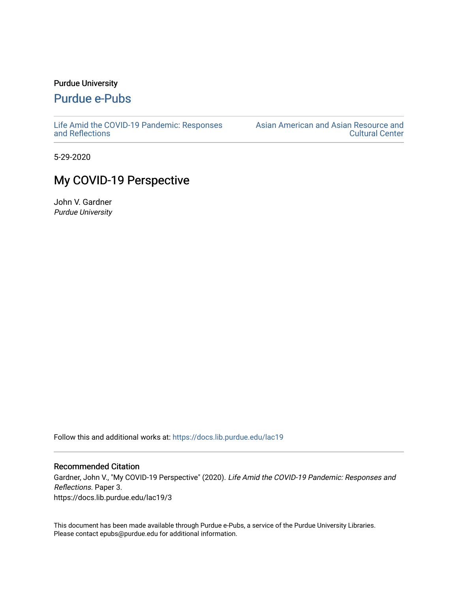### Purdue University

## [Purdue e-Pubs](https://docs.lib.purdue.edu/)

[Life Amid the COVID-19 Pandemic: Responses](https://docs.lib.purdue.edu/lac19)  [and Reflections](https://docs.lib.purdue.edu/lac19) 

[Asian American and Asian Resource and](https://docs.lib.purdue.edu/aaarcc)  [Cultural Center](https://docs.lib.purdue.edu/aaarcc) 

5-29-2020

# My COVID-19 Perspective

John V. Gardner Purdue University

Follow this and additional works at: [https://docs.lib.purdue.edu/lac19](https://docs.lib.purdue.edu/lac19?utm_source=docs.lib.purdue.edu%2Flac19%2F3&utm_medium=PDF&utm_campaign=PDFCoverPages)

#### Recommended Citation

Gardner, John V., "My COVID-19 Perspective" (2020). Life Amid the COVID-19 Pandemic: Responses and Reflections. Paper 3. https://docs.lib.purdue.edu/lac19/3

This document has been made available through Purdue e-Pubs, a service of the Purdue University Libraries. Please contact epubs@purdue.edu for additional information.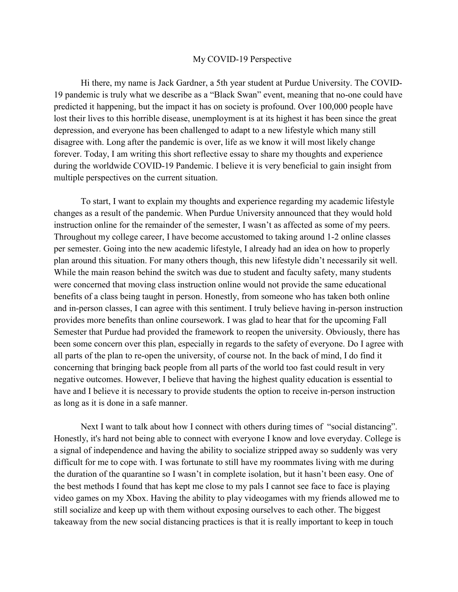### My COVID-19 Perspective

Hi there, my name is Jack Gardner, a 5th year student at Purdue University. The COVID-19 pandemic is truly what we describe as a "Black Swan" event, meaning that no-one could have predicted it happening, but the impact it has on society is profound. Over 100,000 people have lost their lives to this horrible disease, unemployment is at its highest it has been since the great depression, and everyone has been challenged to adapt to a new lifestyle which many still disagree with. Long after the pandemic is over, life as we know it will most likely change forever. Today, I am writing this short reflective essay to share my thoughts and experience during the worldwide COVID-19 Pandemic. I believe it is very beneficial to gain insight from multiple perspectives on the current situation.

To start, I want to explain my thoughts and experience regarding my academic lifestyle changes as a result of the pandemic. When Purdue University announced that they would hold instruction online for the remainder of the semester, I wasn't as affected as some of my peers. Throughout my college career, I have become accustomed to taking around 1-2 online classes per semester. Going into the new academic lifestyle, I already had an idea on how to properly plan around this situation. For many others though, this new lifestyle didn't necessarily sit well. While the main reason behind the switch was due to student and faculty safety, many students were concerned that moving class instruction online would not provide the same educational benefits of a class being taught in person. Honestly, from someone who has taken both online and in-person classes, I can agree with this sentiment. I truly believe having in-person instruction provides more benefits than online coursework. I was glad to hear that for the upcoming Fall Semester that Purdue had provided the framework to reopen the university. Obviously, there has been some concern over this plan, especially in regards to the safety of everyone. Do I agree with all parts of the plan to re-open the university, of course not. In the back of mind, I do find it concerning that bringing back people from all parts of the world too fast could result in very negative outcomes. However, I believe that having the highest quality education is essential to have and I believe it is necessary to provide students the option to receive in-person instruction as long as it is done in a safe manner.

Next I want to talk about how I connect with others during times of "social distancing". Honestly, it's hard not being able to connect with everyone I know and love everyday. College is a signal of independence and having the ability to socialize stripped away so suddenly was very difficult for me to cope with. I was fortunate to still have my roommates living with me during the duration of the quarantine so I wasn't in complete isolation, but it hasn't been easy. One of the best methods I found that has kept me close to my pals I cannot see face to face is playing video games on my Xbox. Having the ability to play videogames with my friends allowed me to still socialize and keep up with them without exposing ourselves to each other. The biggest takeaway from the new social distancing practices is that it is really important to keep in touch